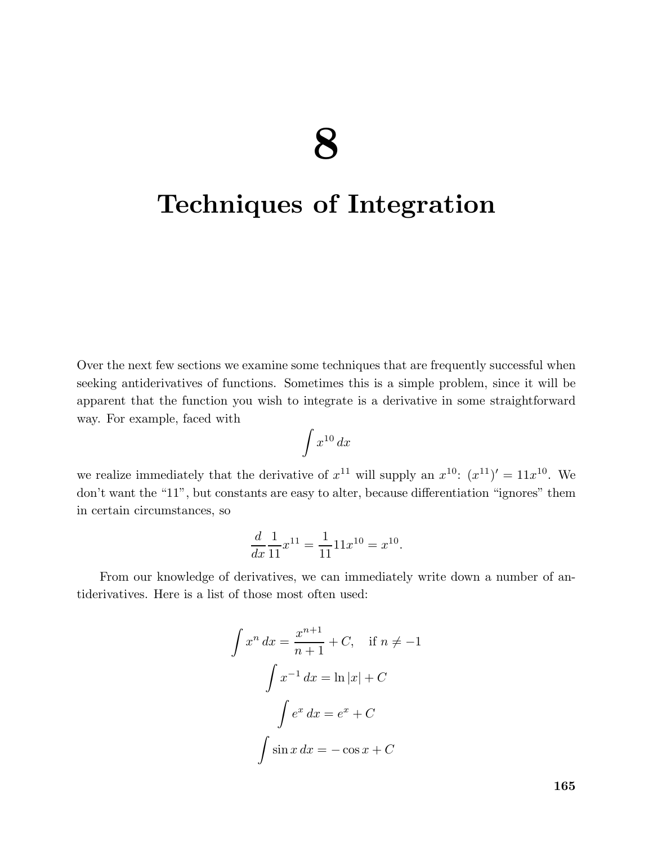# 8

## Techniques of Integration

Over the next few sections we examine some techniques that are frequently successful when seeking antiderivatives of functions. Sometimes this is a simple problem, since it will be apparent that the function you wish to integrate is a derivative in some straightforward way. For example, faced with

$$
\int x^{10} \, dx
$$

we realize immediately that the derivative of  $x^{11}$  will supply an  $x^{10}$ :  $(x^{11})' = 11x^{10}$ . We don't want the "11", but constants are easy to alter, because differentiation "ignores" them in certain circumstances, so

$$
\frac{d}{dx}\frac{1}{11}x^{11} = \frac{1}{11}11x^{10} = x^{10}.
$$

From our knowledge of derivatives, we can immediately write down a number of antiderivatives. Here is a list of those most often used:

$$
\int x^n dx = \frac{x^{n+1}}{n+1} + C, \quad \text{if } n \neq -1
$$

$$
\int x^{-1} dx = \ln|x| + C
$$

$$
\int e^x dx = e^x + C
$$

$$
\int \sin x dx = -\cos x + C
$$

165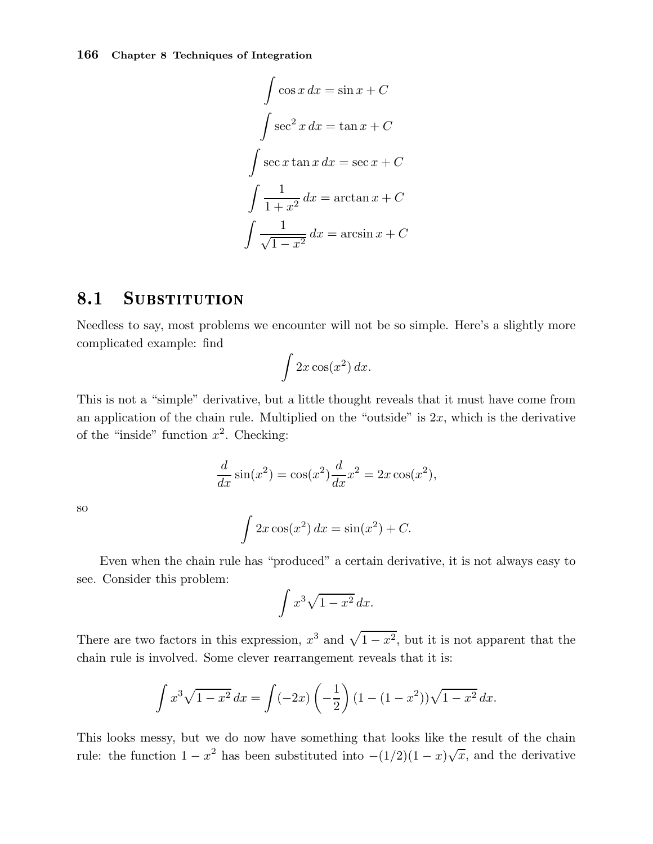$$
\int \cos x \, dx = \sin x + C
$$

$$
\int \sec^2 x \, dx = \tan x + C
$$

$$
\int \sec x \tan x \, dx = \sec x + C
$$

$$
\int \frac{1}{1 + x^2} \, dx = \arctan x + C
$$

$$
\int \frac{1}{\sqrt{1 - x^2}} \, dx = \arcsin x + C
$$

## 8.1 SUBSTITUTION

Needless to say, most problems we encounter will not be so simple. Here's a slightly more complicated example: find

$$
\int 2x\cos(x^2)\,dx.
$$

This is not a "simple" derivative, but a little thought reveals that it must have come from an application of the chain rule. Multiplied on the "outside" is  $2x$ , which is the derivative of the "inside" function  $x^2$ . Checking:

$$
\frac{d}{dx}\sin(x^2) = \cos(x^2)\frac{d}{dx}x^2 = 2x\cos(x^2),
$$

so

$$
\int 2x \cos(x^2) dx = \sin(x^2) + C.
$$

Even when the chain rule has "produced" a certain derivative, it is not always easy to see. Consider this problem:

$$
\int x^3 \sqrt{1-x^2} \, dx.
$$

There are two factors in this expression,  $x^3$  and  $\sqrt{1-x^2}$ , but it is not apparent that the chain rule is involved. Some clever rearrangement reveals that it is:

$$
\int x^3 \sqrt{1-x^2} \, dx = \int (-2x) \left(-\frac{1}{2}\right) (1 - (1 - x^2)) \sqrt{1 - x^2} \, dx.
$$

This looks messy, but we do now have something that looks like the result of the chain rule: the function  $1 - x^2$  has been substituted into  $-(1/2)(1-x)\sqrt{x}$ , and the derivative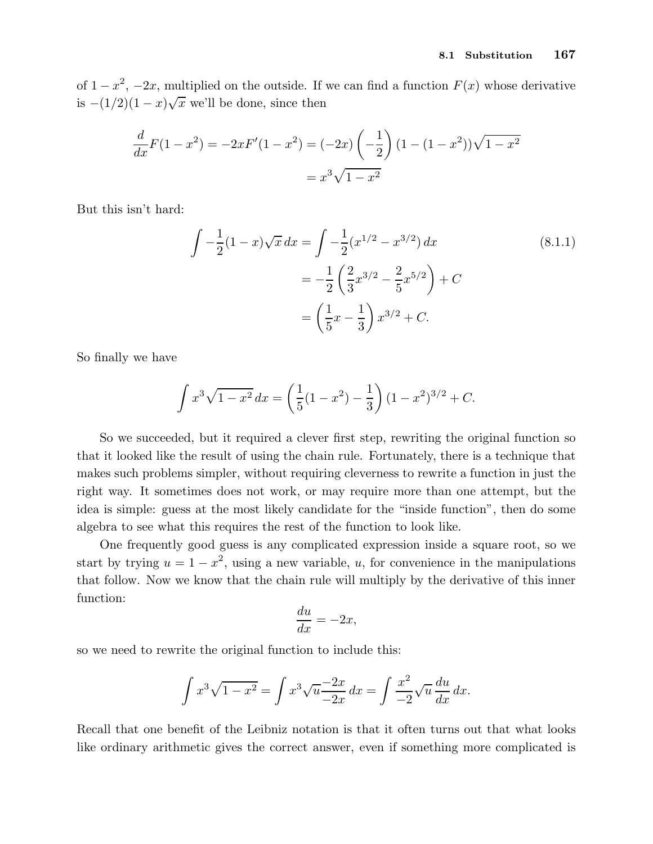of  $1-x^2$ ,  $-2x$ , multiplied on the outside. If we can find a function  $F(x)$  whose derivative is  $-(1/2)(1-x)\sqrt{x}$  we'll be done, since then

$$
\frac{d}{dx}F(1-x^2) = -2xF'(1-x^2) = (-2x)\left(-\frac{1}{2}\right)(1-(1-x^2))\sqrt{1-x^2}
$$

$$
= x^3\sqrt{1-x^2}
$$

But this isn't hard:

$$
\int -\frac{1}{2}(1-x)\sqrt{x} \, dx = \int -\frac{1}{2}(x^{1/2} - x^{3/2}) \, dx
$$
\n
$$
= -\frac{1}{2}\left(\frac{2}{3}x^{3/2} - \frac{2}{5}x^{5/2}\right) + C
$$
\n
$$
= \left(\frac{1}{5}x - \frac{1}{3}\right)x^{3/2} + C.
$$
\n(8.1.1)

So finally we have

$$
\int x^3 \sqrt{1 - x^2} \, dx = \left(\frac{1}{5}(1 - x^2) - \frac{1}{3}\right)(1 - x^2)^{3/2} + C.
$$

So we succeeded, but it required a clever first step, rewriting the original function so that it looked like the result of using the chain rule. Fortunately, there is a technique that makes such problems simpler, without requiring cleverness to rewrite a function in just the right way. It sometimes does not work, or may require more than one attempt, but the idea is simple: guess at the most likely candidate for the "inside function", then do some algebra to see what this requires the rest of the function to look like.

One frequently good guess is any complicated expression inside a square root, so we start by trying  $u = 1 - x^2$ , using a new variable, u, for convenience in the manipulations that follow. Now we know that the chain rule will multiply by the derivative of this inner function:

$$
\frac{du}{dx} = -2x,
$$

so we need to rewrite the original function to include this:

$$
\int x^3 \sqrt{1 - x^2} = \int x^3 \sqrt{u} \frac{-2x}{-2x} dx = \int \frac{x^2}{-2} \sqrt{u} \frac{du}{dx} dx.
$$

Recall that one benefit of the Leibniz notation is that it often turns out that what looks like ordinary arithmetic gives the correct answer, even if something more complicated is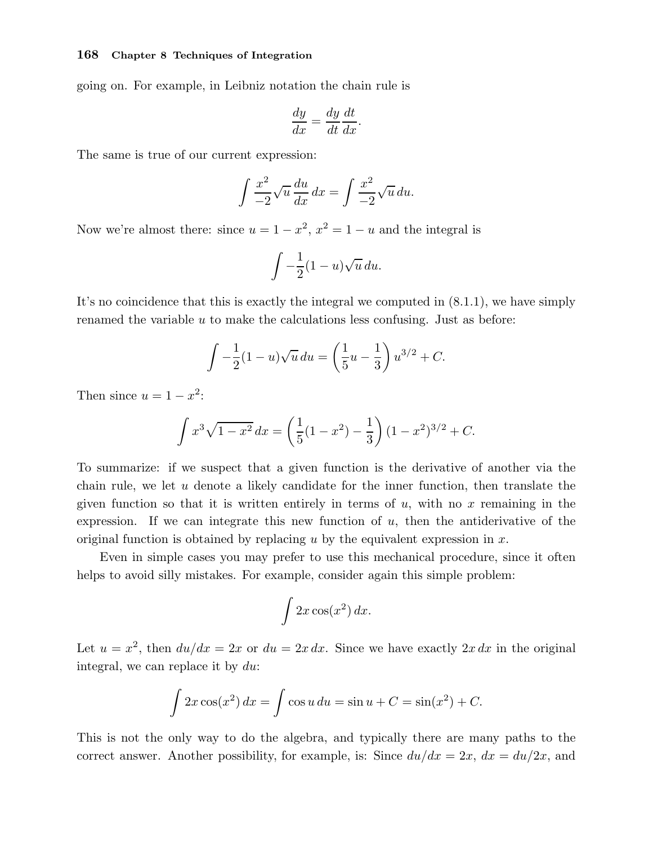going on. For example, in Leibniz notation the chain rule is

$$
\frac{dy}{dx} = \frac{dy}{dt}\frac{dt}{dx}.
$$

The same is true of our current expression:

$$
\int \frac{x^2}{-2} \sqrt{u} \frac{du}{dx} dx = \int \frac{x^2}{-2} \sqrt{u} du.
$$

Now we're almost there: since  $u = 1 - x^2$ ,  $x^2 = 1 - u$  and the integral is

$$
\int -\frac{1}{2}(1-u)\sqrt{u}\,du.
$$

It's no coincidence that this is exactly the integral we computed in (8.1.1), we have simply renamed the variable  $u$  to make the calculations less confusing. Just as before:

$$
\int -\frac{1}{2}(1-u)\sqrt{u}\,du = \left(\frac{1}{5}u - \frac{1}{3}\right)u^{3/2} + C.
$$

Then since  $u = 1 - x^2$ :

$$
\int x^3 \sqrt{1 - x^2} \, dx = \left(\frac{1}{5}(1 - x^2) - \frac{1}{3}\right)(1 - x^2)^{3/2} + C.
$$

To summarize: if we suspect that a given function is the derivative of another via the chain rule, we let u denote a likely candidate for the inner function, then translate the given function so that it is written entirely in terms of  $u$ , with no  $x$  remaining in the expression. If we can integrate this new function of  $u$ , then the antiderivative of the original function is obtained by replacing u by the equivalent expression in  $x$ .

Even in simple cases you may prefer to use this mechanical procedure, since it often helps to avoid silly mistakes. For example, consider again this simple problem:

$$
\int 2x\cos(x^2)\,dx.
$$

Let  $u = x^2$ , then  $du/dx = 2x$  or  $du = 2x dx$ . Since we have exactly  $2x dx$  in the original integral, we can replace it by du:

$$
\int 2x \cos(x^2) \, dx = \int \cos u \, du = \sin u + C = \sin(x^2) + C.
$$

This is not the only way to do the algebra, and typically there are many paths to the correct answer. Another possibility, for example, is: Since  $du/dx = 2x$ ,  $dx = du/2x$ , and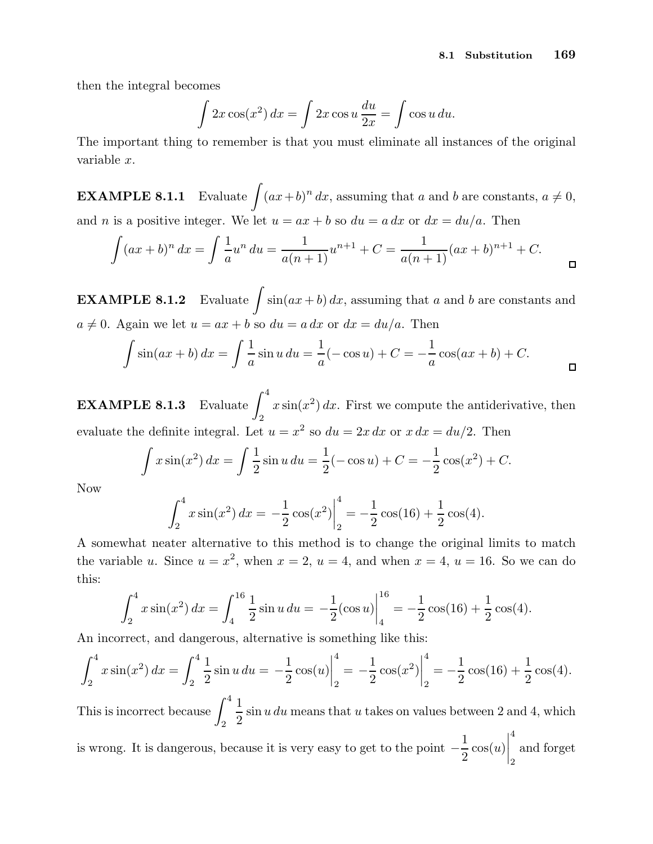then the integral becomes

$$
\int 2x \cos(x^2) \, dx = \int 2x \cos u \, \frac{du}{2x} = \int \cos u \, du.
$$

The important thing to remember is that you must eliminate all instances of the original variable x.

**EXAMPLE 8.1.1** Evaluate  $\int (ax+b)^n dx$ , assuming that a and b are constants,  $a \neq 0$ , and *n* is a positive integer. We let  $u = ax + b$  so  $du = a dx$  or  $dx = du/a$ . Then

$$
\int (ax+b)^n dx = \int \frac{1}{a} u^n du = \frac{1}{a(n+1)} u^{n+1} + C = \frac{1}{a(n+1)} (ax+b)^{n+1} + C.
$$

**EXAMPLE 8.1.2** Evaluate  $\int \sin(ax + b) dx$ , assuming that a and b are constants and  $a \neq 0$ . Again we let  $u = ax + b$  so  $du = a dx$  or  $dx = du/a$ . Then

$$
\int \sin(ax + b) \, dx = \int \frac{1}{a} \sin u \, du = \frac{1}{a} (-\cos u) + C = -\frac{1}{a} \cos(ax + b) + C.
$$

**EXAMPLE 8.1.3** Evaluate  $\int_4^4$ 2  $x\sin(x^2) dx$ . First we compute the antiderivative, then evaluate the definite integral. Let  $u = x^2$  so  $du = 2x dx$  or  $x dx = du/2$ . Then

$$
\int x \sin(x^2) \, dx = \int \frac{1}{2} \sin u \, du = \frac{1}{2} (-\cos u) + C = -\frac{1}{2} \cos(x^2) + C.
$$

Now

$$
\int_2^4 x \sin(x^2) \, dx = -\frac{1}{2} \cos(x^2) \Big|_2^4 = -\frac{1}{2} \cos(16) + \frac{1}{2} \cos(4).
$$

A somewhat neater alternative to this method is to change the original limits to match the variable u. Since  $u = x^2$ , when  $x = 2$ ,  $u = 4$ , and when  $x = 4$ ,  $u = 16$ . So we can do this:

$$
\int_{2}^{4} x \sin(x^{2}) dx = \int_{4}^{16} \frac{1}{2} \sin u du = -\frac{1}{2} (\cos u) \Big|_{4}^{16} = -\frac{1}{2} \cos(16) + \frac{1}{2} \cos(4).
$$

An incorrect, and dangerous, alternative is something like this:

$$
\int_2^4 x \sin(x^2) \, dx = \int_2^4 \frac{1}{2} \sin u \, du = -\frac{1}{2} \cos(u) \Big|_2^4 = -\frac{1}{2} \cos(x^2) \Big|_2^4 = -\frac{1}{2} \cos(16) + \frac{1}{2} \cos(4).
$$

This is incorrect because  $\int^4$ 2 1 2  $\sin u du$  means that u takes on values between 2 and 4, which is wrong. It is dangerous, because it is very easy to get to the point − 1 2  $\cos(u)$  4 2 and forget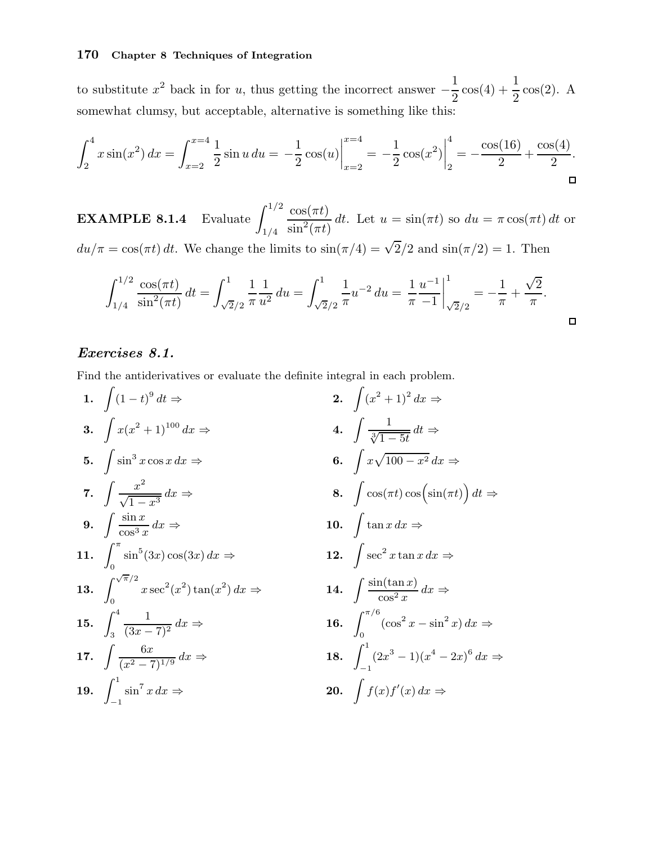to substitute  $x^2$  back in for u, thus getting the incorrect answer  $-$ 1 2  $\cos(4) + \frac{1}{2}$ 2 cos(2). A somewhat clumsy, but acceptable, alternative is something like this:

$$
\int_{2}^{4} x \sin(x^{2}) dx = \int_{x=2}^{x=4} \frac{1}{2} \sin u du = -\frac{1}{2} \cos(u) \Big|_{x=2}^{x=4} = -\frac{1}{2} \cos(x^{2}) \Big|_{2}^{4} = -\frac{\cos(16)}{2} + \frac{\cos(4)}{2}.
$$

**EXAMPLE 8.1.4** Evaluate  $\int_{1/2}^{1/2}$ 1/4  $\cos(\pi t)$  $\sin^2(\pi t)$ dt. Let  $u = \sin(\pi t)$  so  $du = \pi \cos(\pi t) dt$  or  $du/\pi = \cos(\pi t) dt$ . We change the limits to  $\sin(\pi/4) = \sqrt{2}/2$  and  $\sin(\pi/2) = 1$ . Then

$$
\int_{1/4}^{1/2} \frac{\cos(\pi t)}{\sin^2(\pi t)} dt = \int_{\sqrt{2}/2}^1 \frac{1}{\pi} \frac{1}{u^2} du = \int_{\sqrt{2}/2}^1 \frac{1}{\pi} u^{-2} du = \frac{1}{\pi} \frac{u^{-1}}{-1} \Big|_{\sqrt{2}/2}^1 = -\frac{1}{\pi} + \frac{\sqrt{2}}{\pi}.
$$

## Exercises 8.1.

Find the antiderivatives or evaluate the definite integral in each problem.

1. 
$$
\int (1-t)^9 dt \Rightarrow
$$
  
\n2.  $\int (x^2 + 1)^2 dx \Rightarrow$   
\n3.  $\int x(x^2 + 1)^{100} dx \Rightarrow$   
\n4.  $\int \frac{1}{\sqrt[3]{1-5t}} dt \Rightarrow$   
\n5.  $\int \sin^3 x \cos x dx \Rightarrow$   
\n6.  $\int x \sqrt{100-x^2} dx \Rightarrow$   
\n7.  $\int \frac{x^2}{\sqrt{1-x^3}} dx \Rightarrow$   
\n8.  $\int \cos(\pi t) \cos(\sin(\pi t)) dt \Rightarrow$   
\n9.  $\int \frac{\sin x}{\cos^3 x} dx \Rightarrow$   
\n10.  $\int \tan x dx \Rightarrow$   
\n11.  $\int_0^{\pi} \sin^5(3x) \cos(3x) dx \Rightarrow$   
\n12.  $\int \sec^2 x \tan x dx \Rightarrow$   
\n13.  $\int_0^{\sqrt{\pi}/2} x \sec^2(x^2) \tan(x^2) dx \Rightarrow$   
\n14.  $\int \frac{\sin(\tan x)}{\cos^2 x} dx \Rightarrow$   
\n15.  $\int_3^4 \frac{1}{(3x-7)^2} dx \Rightarrow$   
\n16.  $\int_0^{\pi/6} (\cos^2 x - \sin^2 x) dx \Rightarrow$   
\n17.  $\int \frac{6x}{(x^2-7)^{1/9}} dx \Rightarrow$   
\n18.  $\int_{-1}^1 (2x^3 - 1)(x^4 - 2x)^6 dx \Rightarrow$   
\n19.  $\int_{-1}^1 \sin^7 x dx \Rightarrow$   
\n20.  $\int f(x) f'(x) dx \Rightarrow$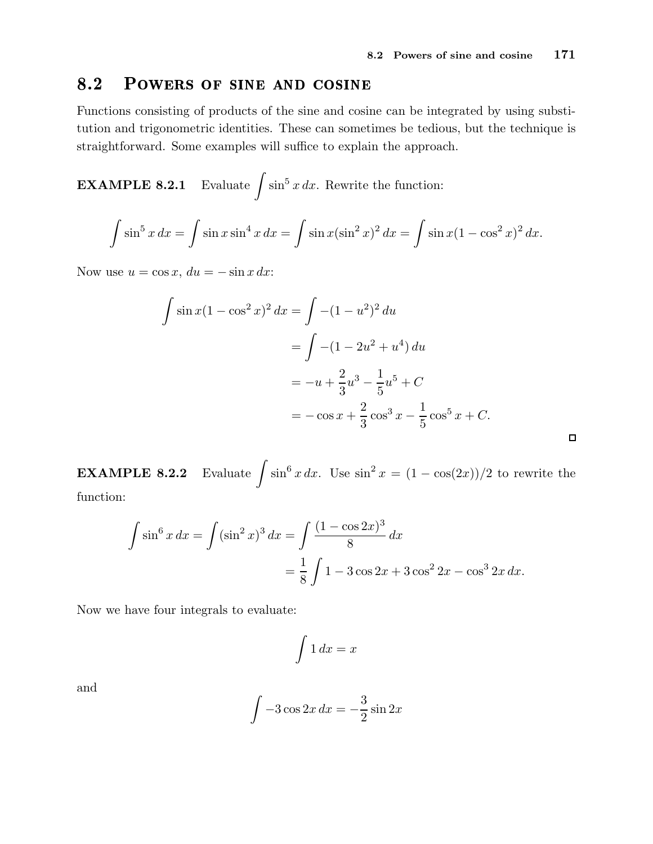#### 8.2 POWERS OF SINE AND COSINE

Functions consisting of products of the sine and cosine can be integrated by using substitution and trigonometric identities. These can sometimes be tedious, but the technique is straightforward. Some examples will suffice to explain the approach.

**EXAMPLE 8.2.1** Evaluate  $\int \sin^5 x \, dx$ . Rewrite the function:

$$
\int \sin^5 x \, dx = \int \sin x \sin^4 x \, dx = \int \sin x (\sin^2 x)^2 \, dx = \int \sin x (1 - \cos^2 x)^2 \, dx.
$$

Now use  $u = \cos x$ ,  $du = -\sin x dx$ :

$$
\int \sin x (1 - \cos^2 x)^2 dx = \int -(1 - u^2)^2 du
$$
  
= 
$$
\int -(1 - 2u^2 + u^4) du
$$
  
= 
$$
-u + \frac{2}{3}u^3 - \frac{1}{5}u^5 + C
$$
  
= 
$$
-\cos x + \frac{2}{3}\cos^3 x - \frac{1}{5}\cos^5 x + C.
$$

**EXAMPLE 8.2.2** Evaluate  $\int \sin^6 x \, dx$ . Use  $\sin^2 x = (1 - \cos(2x))/2$  to rewrite the function:

$$
\int \sin^6 x \, dx = \int (\sin^2 x)^3 \, dx = \int \frac{(1 - \cos 2x)^3}{8} \, dx
$$

$$
= \frac{1}{8} \int 1 - 3\cos 2x + 3\cos^2 2x - \cos^3 2x \, dx.
$$

Now we have four integrals to evaluate:

$$
\int 1 \, dx = x
$$

and

$$
\int -3\cos 2x \, dx = -\frac{3}{2}\sin 2x
$$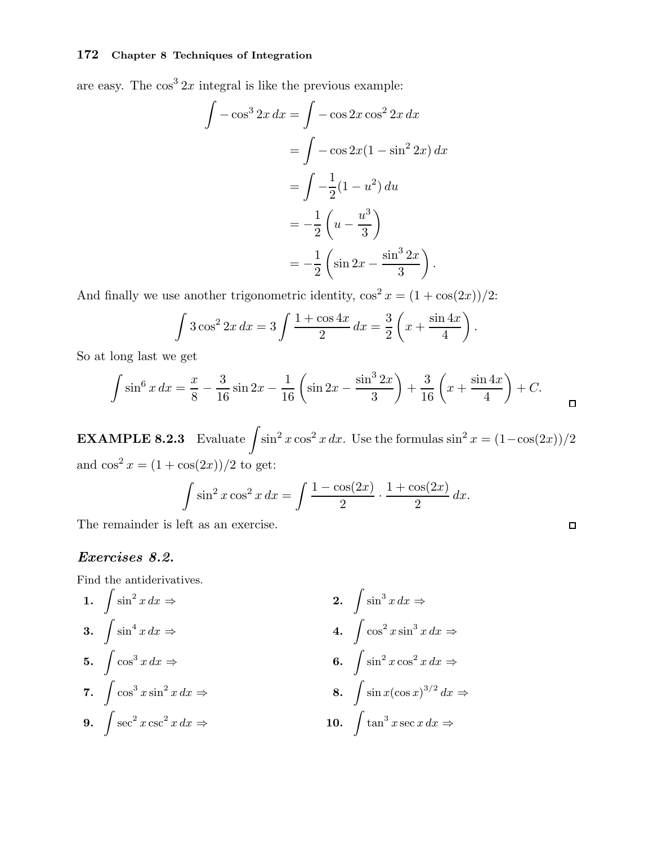are easy. The  $\cos^3 2x$  integral is like the previous example:

$$
\int -\cos^3 2x \, dx = \int -\cos 2x \cos^2 2x \, dx
$$

$$
= \int -\cos 2x (1 - \sin^2 2x) \, dx
$$

$$
= \int -\frac{1}{2} (1 - u^2) \, du
$$

$$
= -\frac{1}{2} \left( u - \frac{u^3}{3} \right)
$$

$$
= -\frac{1}{2} \left( \sin 2x - \frac{\sin^3 2x}{3} \right).
$$

And finally we use another trigonometric identity,  $\cos^2 x = (1 + \cos(2x))/2$ :

$$
\int 3\cos^2 2x \, dx = 3 \int \frac{1 + \cos 4x}{2} \, dx = \frac{3}{2} \left( x + \frac{\sin 4x}{4} \right).
$$

So at long last we get

$$
\int \sin^6 x \, dx = \frac{x}{8} - \frac{3}{16} \sin 2x - \frac{1}{16} \left( \sin 2x - \frac{\sin^3 2x}{3} \right) + \frac{3}{16} \left( x + \frac{\sin 4x}{4} \right) + C.
$$

**EXAMPLE 8.2.3** Evaluate  $\int \sin^2 x \cos^2 x dx$ . Use the formulas  $\sin^2 x = (1-\cos(2x))/2$ and  $\cos^2 x = (1 + \cos(2x))/2$  to get:

$$
\int \sin^2 x \cos^2 x \, dx = \int \frac{1 - \cos(2x)}{2} \cdot \frac{1 + \cos(2x)}{2} \, dx.
$$

 $\Box$ 

The remainder is left as an exercise.

## Exercises 8.2.

Find the antiderivatives.

1. 
$$
\int \sin^2 x \, dx \Rightarrow
$$
  
\n2.  $\int \sin^3 x \, dx \Rightarrow$   
\n3.  $\int \sin^4 x \, dx \Rightarrow$   
\n4.  $\int \cos^2 x \sin^3 x \, dx \Rightarrow$   
\n5.  $\int \cos^3 x \, dx \Rightarrow$   
\n6.  $\int \sin^2 x \cos^2 x \, dx \Rightarrow$   
\n7.  $\int \cos^3 x \sin^2 x \, dx \Rightarrow$   
\n8.  $\int \sin x (\cos x)^{3/2} \, dx \Rightarrow$   
\n9.  $\int \sec^2 x \csc^2 x \, dx \Rightarrow$   
\n10.  $\int \tan^3 x \sec x \, dx \Rightarrow$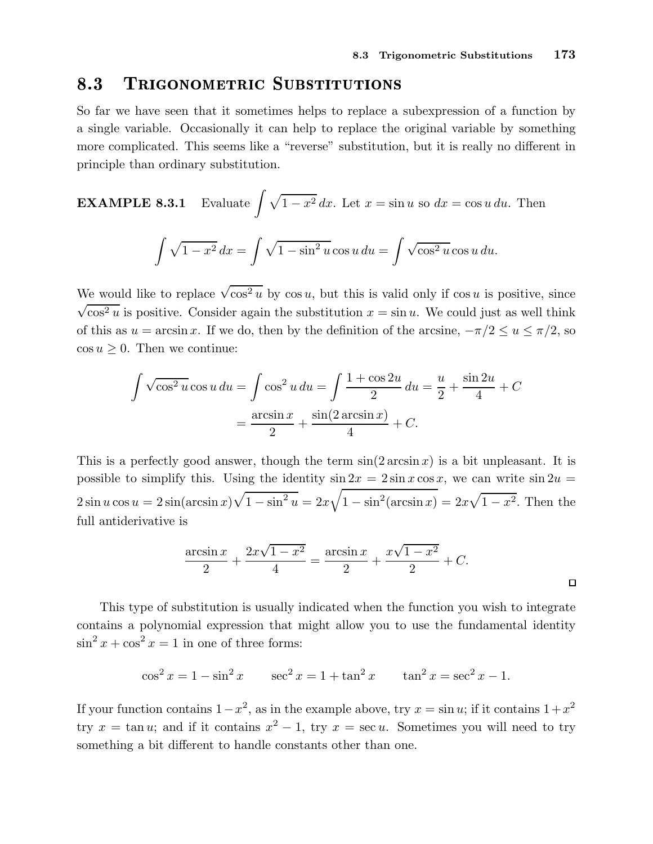## TRIGONOMETRIC SUBSTITUTIONS

So far we have seen that it sometimes helps to replace a subexpression of a function by a single variable. Occasionally it can help to replace the original variable by something more complicated. This seems like a "reverse" substitution, but it is really no different in principle than ordinary substitution.

**EXAMPLE 8.3.1** Evaluate 
$$
\int \sqrt{1 - x^2} dx
$$
. Let  $x = \sin u$  so  $dx = \cos u du$ . Then  

$$
\int \sqrt{1 - x^2} dx = \int \sqrt{1 - \sin^2 u} \cos u du = \int \sqrt{\cos^2 u} \cos u du.
$$

We would like to replace  $\sqrt{\cos^2 u}$  by  $\cos u$ , but this is valid only if  $\cos u$  is positive, since  $\sqrt{\cos^2 u}$  is positive. Consider again the substitution  $x = \sin u$ . We could just as well think of this as  $u = \arcsin x$ . If we do, then by the definition of the arcsine,  $-\pi/2 \le u \le \pi/2$ , so  $\cos u \geq 0$ . Then we continue:

$$
\int \sqrt{\cos^2 u} \cos u \, du = \int \cos^2 u \, du = \int \frac{1 + \cos 2u}{2} \, du = \frac{u}{2} + \frac{\sin 2u}{4} + C
$$

$$
= \frac{\arcsin x}{2} + \frac{\sin(2 \arcsin x)}{4} + C.
$$

This is a perfectly good answer, though the term  $sin(2 arcsin x)$  is a bit unpleasant. It is possible to simplify this. Using the identity  $\sin 2x = 2 \sin x \cos x$ , we can write  $\sin 2u =$  $2 \sin u \cos u = 2 \sin(\arcsin x)\sqrt{1-\sin^2 u} = 2x\sqrt{1-\sin^2(\arcsin x)} = 2x\sqrt{1-x^2}$ . Then the full antiderivative is

$$
\frac{\arcsin x}{2} + \frac{2x\sqrt{1-x^2}}{4} = \frac{\arcsin x}{2} + \frac{x\sqrt{1-x^2}}{2} + C.
$$

This type of substitution is usually indicated when the function you wish to integrate contains a polynomial expression that might allow you to use the fundamental identity  $\sin^2 x + \cos^2 x = 1$  in one of three forms:

$$
\cos^2 x = 1 - \sin^2 x \qquad \sec^2 x = 1 + \tan^2 x \qquad \tan^2 x = \sec^2 x - 1.
$$

If your function contains  $1-x^2$ , as in the example above, try  $x = \sin u$ ; if it contains  $1+x^2$ try  $x = \tan u$ ; and if it contains  $x^2 - 1$ , try  $x = \sec u$ . Sometimes you will need to try something a bit different to handle constants other than one.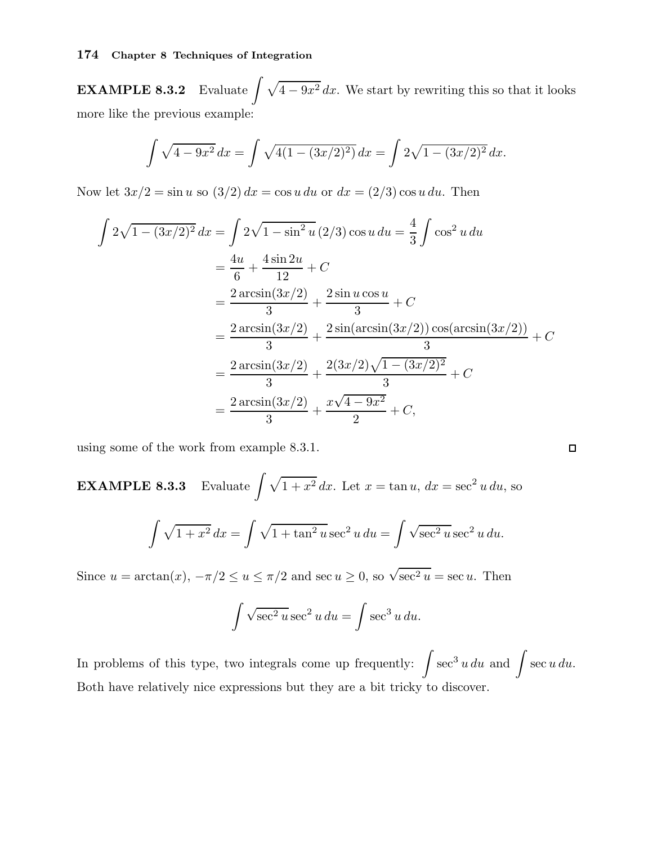EXAMPLE 8.3.2  $4 - 9x^2 dx$ . We start by rewriting this so that it looks more like the previous example:

$$
\int \sqrt{4 - 9x^2} \, dx = \int \sqrt{4(1 - (3x/2)^2)} \, dx = \int 2\sqrt{1 - (3x/2)^2} \, dx.
$$

Now let  $3x/2 = \sin u$  so  $(3/2) dx = \cos u du$  or  $dx = (2/3) \cos u du$ . Then

$$
\int 2\sqrt{1 - (3x/2)^2} \, dx = \int 2\sqrt{1 - \sin^2 u} \, (2/3) \cos u \, du = \frac{4}{3} \int \cos^2 u \, du
$$
  
=  $\frac{4u}{6} + \frac{4 \sin 2u}{12} + C$   
=  $\frac{2 \arcsin(3x/2)}{3} + \frac{2 \sin u \cos u}{3} + C$   
=  $\frac{2 \arcsin(3x/2)}{3} + \frac{2 \sin(\arcsin(3x/2)) \cos(\arcsin(3x/2))}{3} + C$   
=  $\frac{2 \arcsin(3x/2)}{3} + \frac{2(3x/2)\sqrt{1 - (3x/2)^2}}{3} + C$   
=  $\frac{2 \arcsin(3x/2)}{3} + \frac{x\sqrt{4 - 9x^2}}{2} + C$ ,

using some of the work from example 8.3.1.

**EXAMPLE 8.3.3** Evaluate 
$$
\int \sqrt{1 + x^2} dx
$$
. Let  $x = \tan u$ ,  $dx = \sec^2 u du$ , so  

$$
\int \sqrt{1 + x^2} dx = \int \sqrt{1 + \tan^2 u} \sec^2 u du = \int \sqrt{\sec^2 u} \sec^2 u du.
$$

Since  $u = \arctan(x)$ ,  $-\pi/2 \le u \le \pi/2$  and sec  $u \ge 0$ , so  $\sqrt{\sec^2 u} = \sec u$ . Then

$$
\int \sqrt{\sec^2 u} \sec^2 u \, du = \int \sec^3 u \, du.
$$

In problems of this type, two integrals come up frequently:  $\int \sec^3 u \, du$  and  $\int \sec u \, du$ . Both have relatively nice expressions but they are a bit tricky to discover.

 $\Box$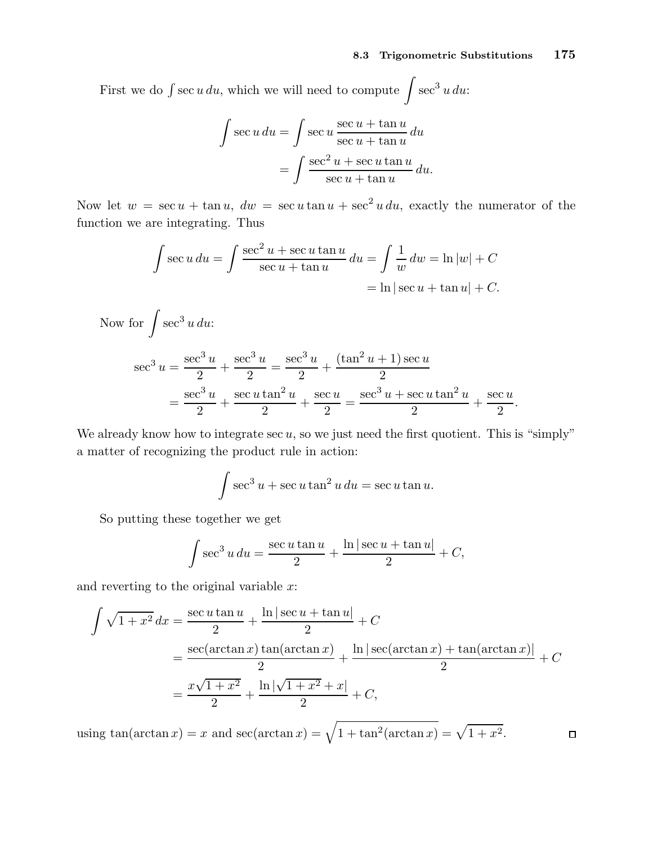First we do  $\int \sec u \, du$ , which we will need to compute  $\int \sec^3 u \, du$ :

$$
\int \sec u \, du = \int \sec u \, \frac{\sec u + \tan u}{\sec u + \tan u} \, du
$$

$$
= \int \frac{\sec^2 u + \sec u \tan u}{\sec u + \tan u} \, du.
$$

Now let  $w = \sec u + \tan u$ ,  $dw = \sec u \tan u + \sec^2 u du$ , exactly the numerator of the function we are integrating. Thus

$$
\int \sec u \, du = \int \frac{\sec^2 u + \sec u \tan u}{\sec u + \tan u} \, du = \int \frac{1}{w} \, dw = \ln |w| + C
$$

$$
= \ln |\sec u + \tan u| + C.
$$

Now for 
$$
\int \sec^3 u \, du
$$
:  
\n
$$
\sec^3 u = \frac{\sec^3 u}{2} + \frac{\sec^3 u}{2} = \frac{\sec^3 u}{2} + \frac{(\tan^2 u + 1)\sec u}{2} = \frac{\sec^3 u}{2} + \frac{\sec u \tan^2 u}{2} + \frac{\sec u}{2} = \frac{\sec^3 u + \sec u \tan^2 u}{2} + \frac{\sec u}{2}.
$$

We already know how to integrate  $\sec u$ , so we just need the first quotient. This is "simply" a matter of recognizing the product rule in action:

$$
\int \sec^3 u + \sec u \tan^2 u \, du = \sec u \tan u.
$$

So putting these together we get

$$
\int \sec^3 u \, du = \frac{\sec u \tan u}{2} + \frac{\ln|\sec u + \tan u|}{2} + C,
$$

and reverting to the original variable  $x$ :

$$
\int \sqrt{1+x^2} \, dx = \frac{\sec u \tan u}{2} + \frac{\ln|\sec u + \tan u|}{2} + C
$$
  
= 
$$
\frac{\sec(\arctan x) \tan(\arctan x)}{2} + \frac{\ln|\sec(\arctan x) + \tan(\arctan x)|}{2} + C
$$
  
= 
$$
\frac{x\sqrt{1+x^2}}{2} + \frac{\ln|\sqrt{1+x^2} + x|}{2} + C,
$$

using  $\tan(\arctan x) = x$  and  $\sec(\arctan x) = \sqrt{1 + \tan^2(\arctan x)} = \sqrt{1 + x^2}$ .  $\Box$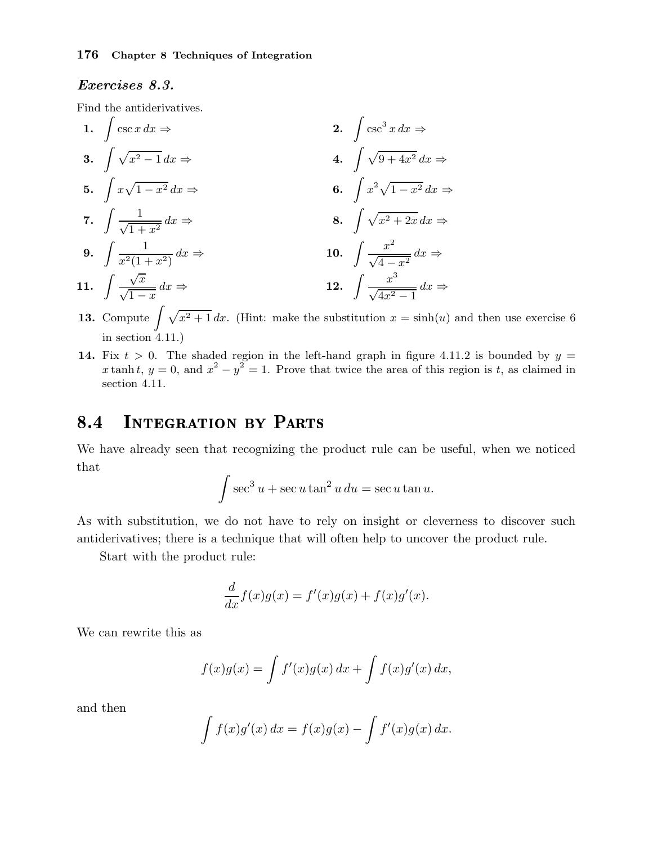## Exercises 8.3.

Find the antiderivatives.

- 1.  $\int \csc x \, dx \Rightarrow$  2.  $\csc^3 x \, dx \Rightarrow$ 3.  $\int \sqrt{x^2 - 1} \, dx \Rightarrow$  4.  $\int \sqrt{x^2 - 1} \, dx$ 4.  $\int \sqrt{9+4x^2} \, dx \Rightarrow$ 5.  $\int x\sqrt{1-x^2}\,dx \Rightarrow$  6.  $x^2\sqrt{1-x^2}\,dx \Rightarrow$ 7.  $\int \frac{1}{\sqrt{1-\frac{1}{2}}}\,$  $\sqrt{1+x^2}$  $dx \Rightarrow$  8.  $\int \sqrt{x^2 + 2x} \, dx \Rightarrow$ 9.  $\int \frac{1}{2(1-x^2)^{1/2}}$  $x^2(1+x^2)$  $dx \Rightarrow$  10.  $\int \frac{x^2}{\sqrt{4-x^2}}$  $\frac{x}{\sqrt{4-x^2}} dx \Rightarrow$ 11.  $\int \frac{\sqrt{x}}{x}$  $\sqrt{1-x}$  $dx \Rightarrow$  12.  $\int \frac{x^3}{\sqrt{4x^2}}$  $\frac{x}{\sqrt{4x^2-1}} dx \Rightarrow$
- **13.** Compute  $\int \sqrt{x^2 + 1} dx$ . (Hint: make the substitution  $x = \sinh(u)$  and then use exercise 6 in section 4.11.)
- 14. Fix  $t > 0$ . The shaded region in the left-hand graph in figure 4.11.2 is bounded by  $y =$ x tanh t,  $y = 0$ , and  $x^2 - y^2 = 1$ . Prove that twice the area of this region is t, as claimed in section 4.11.

#### **INTEGRATION BY PARTS** 8.4

We have already seen that recognizing the product rule can be useful, when we noticed that

$$
\int \sec^3 u + \sec u \tan^2 u \, du = \sec u \tan u.
$$

As with substitution, we do not have to rely on insight or cleverness to discover such antiderivatives; there is a technique that will often help to uncover the product rule.

Start with the product rule:

$$
\frac{d}{dx}f(x)g(x) = f'(x)g(x) + f(x)g'(x).
$$

We can rewrite this as

$$
f(x)g(x) = \int f'(x)g(x) dx + \int f(x)g'(x) dx,
$$

and then

$$
\int f(x)g'(x) dx = f(x)g(x) - \int f'(x)g(x) dx.
$$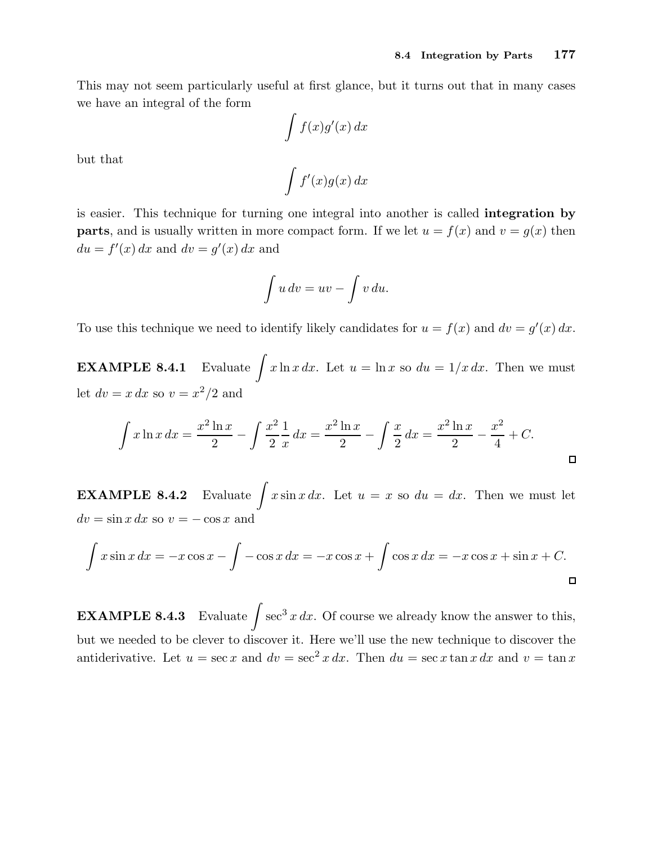This may not seem particularly useful at first glance, but it turns out that in many cases we have an integral of the form

$$
\int f(x)g'(x) \, dx
$$

but that

$$
\int f'(x)g(x) \, dx
$$

is easier. This technique for turning one integral into another is called integration by **parts**, and is usually written in more compact form. If we let  $u = f(x)$  and  $v = g(x)$  then  $du = f'(x) dx$  and  $dv = g'(x) dx$  and

$$
\int u\,dv = uv - \int v\,du.
$$

To use this technique we need to identify likely candidates for  $u = f(x)$  and  $dv = g'(x) dx$ .

**EXAMPLE 8.4.1** Evaluate  $\int x \ln x \, dx$ . Let  $u = \ln x$  so  $du = 1/x \, dx$ . Then we must let  $dv = x dx$  so  $v = x^2/2$  and

$$
\int x \ln x \, dx = \frac{x^2 \ln x}{2} - \int \frac{x^2}{2} \frac{1}{x} \, dx = \frac{x^2 \ln x}{2} - \int \frac{x}{2} \, dx = \frac{x^2 \ln x}{2} - \frac{x^2}{4} + C.
$$

**EXAMPLE 8.4.2** Evaluate  $\int x \sin x \, dx$ . Let  $u = x$  so  $du = dx$ . Then we must let  $dv = \sin x dx$  so  $v = -\cos x$  and

$$
\int x \sin x \, dx = -x \cos x - \int -\cos x \, dx = -x \cos x + \int \cos x \, dx = -x \cos x + \sin x + C.
$$

**EXAMPLE 8.4.3** Evaluate  $\int \sec^3 x \, dx$ . Of course we already know the answer to this, but we needed to be clever to discover it. Here we'll use the new technique to discover the antiderivative. Let  $u = \sec x$  and  $dv = \sec^2 x dx$ . Then  $du = \sec x \tan x dx$  and  $v = \tan x$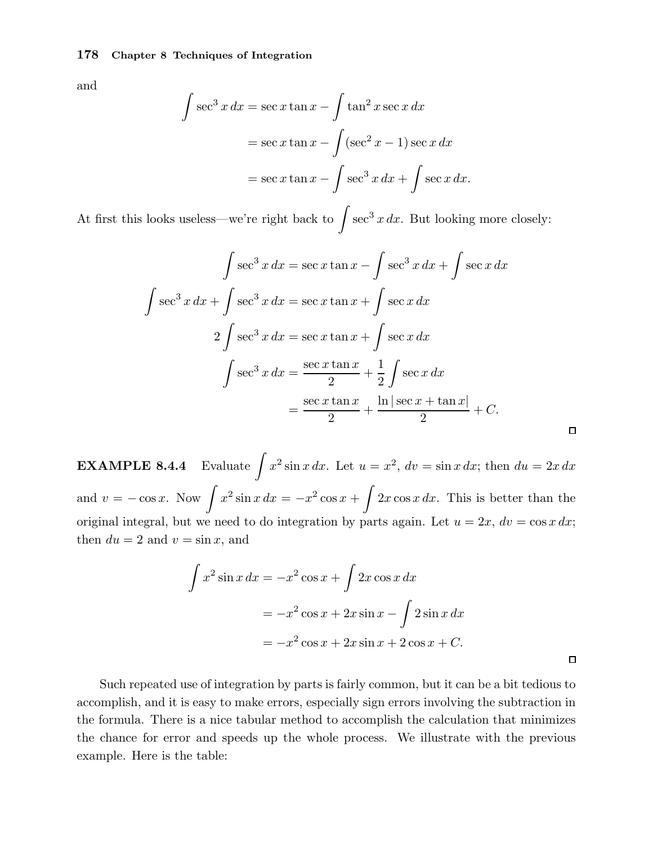and

$$
\int \sec^3 x \, dx = \sec x \tan x - \int \tan^2 x \sec x \, dx
$$

$$
= \sec x \tan x - \int (\sec^2 x - 1) \sec x \, dx
$$

$$
= \sec x \tan x - \int \sec^3 x \, dx + \int \sec x \, dx.
$$

At first this looks useless—we're right back to  $\int \sec^3 x \, dx$ . But looking more closely:

$$
\int \sec^3 x \, dx = \sec x \tan x - \int \sec^3 x \, dx + \int \sec x \, dx
$$

$$
\int \sec^3 x \, dx + \int \sec^3 x \, dx = \sec x \tan x + \int \sec x \, dx
$$

$$
2 \int \sec^3 x \, dx = \sec x \tan x + \int \sec x \, dx
$$

$$
\int \sec^3 x \, dx = \frac{\sec x \tan x}{2} + \frac{1}{2} \int \sec x \, dx
$$

$$
= \frac{\sec x \tan x}{2} + \frac{\ln|\sec x + \tan x|}{2} + C.
$$

 $\Box$ 

 $\Box$ 

**EXAMPLE 8.4.4** Evaluate  $\int x^2 \sin x \, dx$ . Let  $u = x^2$ ,  $dv = \sin x \, dx$ ; then  $du = 2x \, dx$ and  $v = -\cos x$ . Now  $\int x^2 \sin x \, dx = -x^2 \cos x + \int 2x \cos x \, dx$ . This is better than the original integral, but we need to do integration by parts again. Let  $u = 2x$ ,  $dv = \cos x dx$ ; then  $du = 2$  and  $v = \sin x$ , and

$$
\int x^2 \sin x \, dx = -x^2 \cos x + \int 2x \cos x \, dx
$$

$$
= -x^2 \cos x + 2x \sin x - \int 2 \sin x \, dx
$$

$$
= -x^2 \cos x + 2x \sin x + 2 \cos x + C.
$$

Such repeated use of integration by parts is fairly common, but it can be a bit tedious to accomplish, and it is easy to make errors, especially sign errors involving the subtraction in the formula. There is a nice tabular method to accomplish the calculation that minimizes the chance for error and speeds up the whole process. We illustrate with the previous example. Here is the table: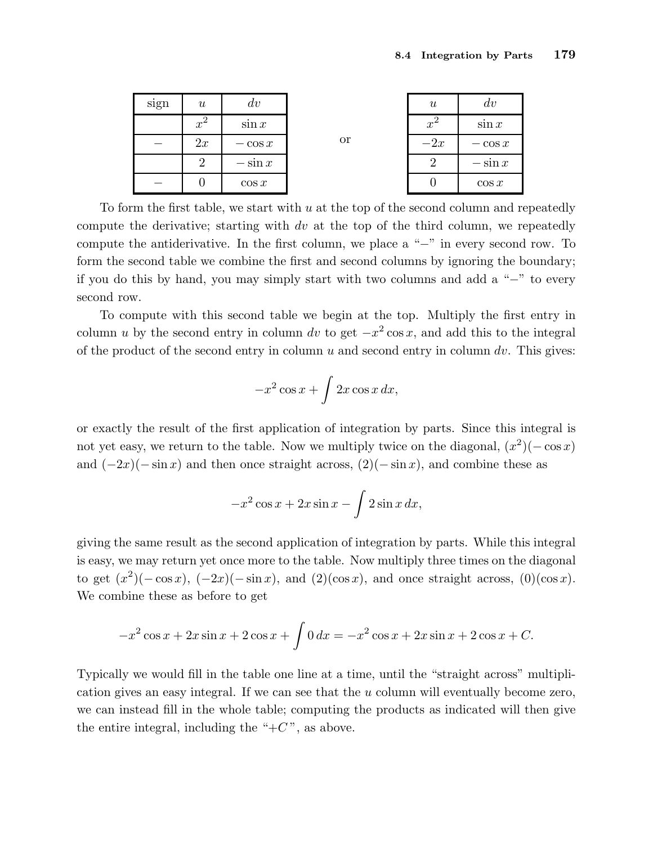| sign | $\boldsymbol{\mathit{u}}$ | dv        | <b>or</b> | $\boldsymbol{\mathit{u}}$ | dv        |
|------|---------------------------|-----------|-----------|---------------------------|-----------|
|      | $x^2$                     | $\sin x$  |           | $x^2$                     | $\sin x$  |
|      | 2x                        | $-\cos x$ |           | $-2x$                     | $-\cos x$ |
|      | 2                         | $-\sin x$ |           | $\overline{2}$            | $-\sin x$ |
|      |                           | $\cos x$  |           |                           | $\cos x$  |

To form the first table, we start with  $u$  at the top of the second column and repeatedly compute the derivative; starting with dv at the top of the third column, we repeatedly compute the antiderivative. In the first column, we place a "−" in every second row. To form the second table we combine the first and second columns by ignoring the boundary; if you do this by hand, you may simply start with two columns and add a "−" to every second row.

To compute with this second table we begin at the top. Multiply the first entry in column u by the second entry in column dv to get  $-x^2 \cos x$ , and add this to the integral of the product of the second entry in column  $u$  and second entry in column  $dv$ . This gives:

$$
-x^2\cos x + \int 2x\cos x \, dx,
$$

or exactly the result of the first application of integration by parts. Since this integral is not yet easy, we return to the table. Now we multiply twice on the diagonal,  $(x^2)(-\cos x)$ and  $(-2x)(-\sin x)$  and then once straight across,  $(2)(-\sin x)$ , and combine these as

$$
-x^2\cos x + 2x\sin x - \int 2\sin x \, dx,
$$

giving the same result as the second application of integration by parts. While this integral is easy, we may return yet once more to the table. Now multiply three times on the diagonal to get  $(x^2)(-\cos x)$ ,  $(-2x)(-\sin x)$ , and  $(2)(\cos x)$ , and once straight across,  $(0)(\cos x)$ . We combine these as before to get

$$
-x^{2}\cos x + 2x\sin x + 2\cos x + \int 0 dx = -x^{2}\cos x + 2x\sin x + 2\cos x + C.
$$

Typically we would fill in the table one line at a time, until the "straight across" multiplication gives an easy integral. If we can see that the u column will eventually become zero, we can instead fill in the whole table; computing the products as indicated will then give the entire integral, including the " $+C$ ", as above.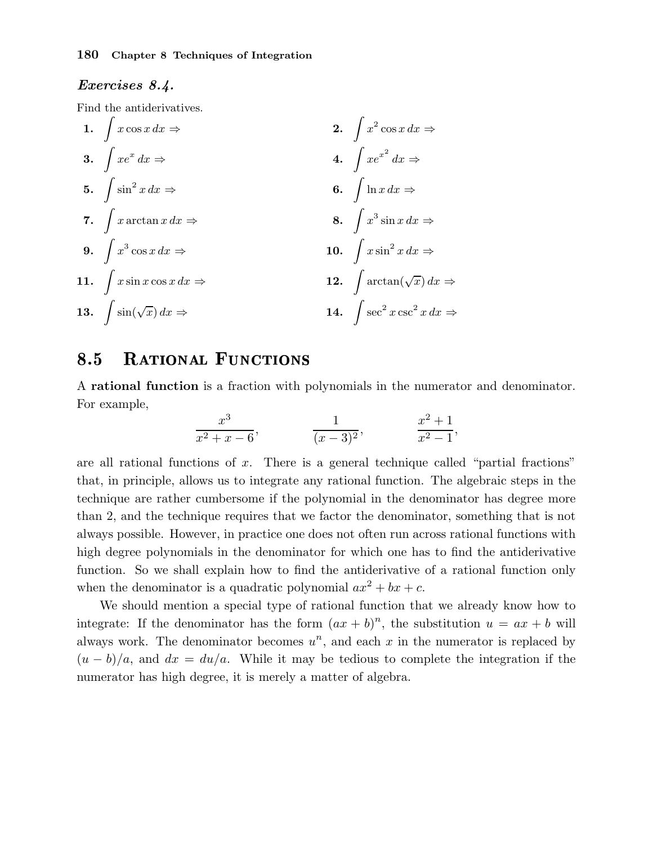## Exercises 8.4.

Find the antiderivatives.

1. 
$$
\int x \cos x \, dx \Rightarrow
$$
  
\n2.  $\int x^2 \cos x \, dx \Rightarrow$   
\n3.  $\int xe^x \, dx \Rightarrow$   
\n4.  $\int xe^{x^2} \, dx \Rightarrow$   
\n5.  $\int \sin^2 x \, dx \Rightarrow$   
\n6.  $\int \ln x \, dx \Rightarrow$   
\n7.  $\int x \arctan x \, dx \Rightarrow$   
\n8.  $\int x^3 \sin x \, dx \Rightarrow$   
\n9.  $\int x^3 \cos x \, dx \Rightarrow$   
\n10.  $\int x \sin^2 x \, dx \Rightarrow$   
\n11.  $\int x \sin x \cos x \, dx \Rightarrow$   
\n12.  $\int \arctan(\sqrt{x}) \, dx \Rightarrow$   
\n13.  $\int \sin(\sqrt{x}) \, dx \Rightarrow$   
\n14.  $\int \sec^2 x \csc^2 x \, dx \Rightarrow$ 

#### **RATIONAL FUNCTIONS** 8.5

A rational function is a fraction with polynomials in the numerator and denominator. For example,

$$
\frac{x^3}{x^2 + x - 6}, \qquad \frac{1}{(x - 3)^2}, \qquad \frac{x^2 + 1}{x^2 - 1},
$$

are all rational functions of  $x$ . There is a general technique called "partial fractions" that, in principle, allows us to integrate any rational function. The algebraic steps in the technique are rather cumbersome if the polynomial in the denominator has degree more than 2, and the technique requires that we factor the denominator, something that is not always possible. However, in practice one does not often run across rational functions with high degree polynomials in the denominator for which one has to find the antiderivative function. So we shall explain how to find the antiderivative of a rational function only when the denominator is a quadratic polynomial  $ax^2 + bx + c$ .

We should mention a special type of rational function that we already know how to integrate: If the denominator has the form  $(ax + b)^n$ , the substitution  $u = ax + b$  will always work. The denominator becomes  $u^n$ , and each x in the numerator is replaced by  $(u - b)/a$ , and  $dx = du/a$ . While it may be tedious to complete the integration if the numerator has high degree, it is merely a matter of algebra.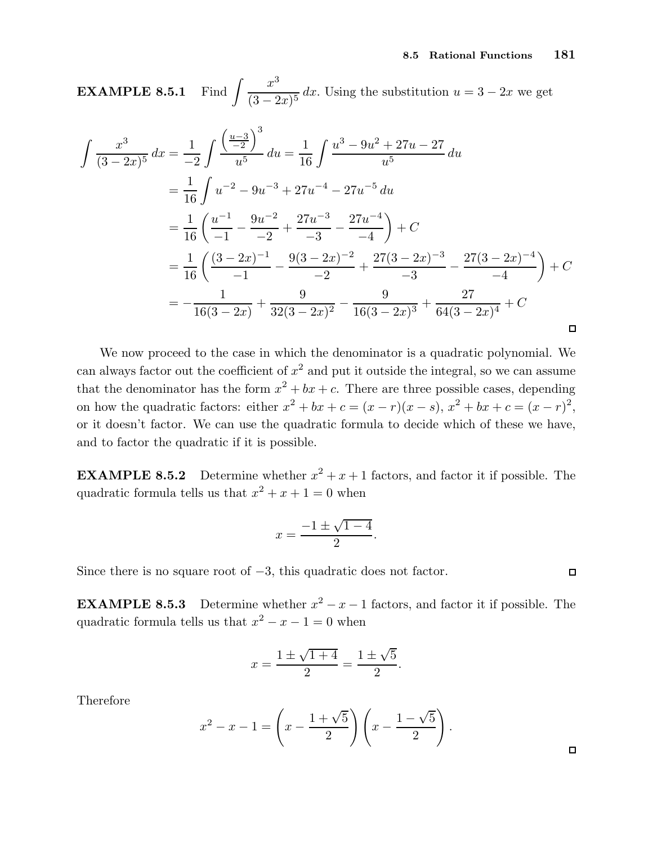**EXAMPLE 8.5.1** Find  $\int \frac{x^3}{(3-x^2)^3}$  $\frac{u}{(3-2x)^5}$  dx. Using the substitution  $u = 3 - 2x$  we get

$$
\int \frac{x^3}{(3-2x)^5} dx = \frac{1}{-2} \int \frac{\left(\frac{u-3}{-2}\right)^3}{u^5} du = \frac{1}{16} \int \frac{u^3 - 9u^2 + 27u - 27}{u^5} du
$$
  
\n
$$
= \frac{1}{16} \int u^{-2} - 9u^{-3} + 27u^{-4} - 27u^{-5} du
$$
  
\n
$$
= \frac{1}{16} \left(\frac{u^{-1}}{-1} - \frac{9u^{-2}}{-2} + \frac{27u^{-3}}{-3} - \frac{27u^{-4}}{-4}\right) + C
$$
  
\n
$$
= \frac{1}{16} \left(\frac{(3-2x)^{-1}}{-1} - \frac{9(3-2x)^{-2}}{-2} + \frac{27(3-2x)^{-3}}{-3} - \frac{27(3-2x)^{-4}}{-4}\right) + C
$$
  
\n
$$
= -\frac{1}{16(3-2x)} + \frac{9}{32(3-2x)^2} - \frac{9}{16(3-2x)^3} + \frac{27}{64(3-2x)^4} + C
$$

We now proceed to the case in which the denominator is a quadratic polynomial. We can always factor out the coefficient of  $x^2$  and put it outside the integral, so we can assume that the denominator has the form  $x^2 + bx + c$ . There are three possible cases, depending on how the quadratic factors: either  $x^2 + bx + c = (x - r)(x - s)$ ,  $x^2 + bx + c = (x - r)^2$ , or it doesn't factor. We can use the quadratic formula to decide which of these we have, and to factor the quadratic if it is possible.

**EXAMPLE 8.5.2** Determine whether  $x^2 + x + 1$  factors, and factor it if possible. The quadratic formula tells us that  $x^2 + x + 1 = 0$  when

$$
x = \frac{-1 \pm \sqrt{1 - 4}}{2}.
$$

Since there is no square root of  $-3$ , this quadratic does not factor.

**EXAMPLE 8.5.3** Determine whether  $x^2 - x - 1$  factors, and factor it if possible. The quadratic formula tells us that  $x^2 - x - 1 = 0$  when

$$
x = \frac{1 \pm \sqrt{1+4}}{2} = \frac{1 \pm \sqrt{5}}{2}.
$$

Therefore

$$
x^{2} - x - 1 = \left(x - \frac{1 + \sqrt{5}}{2}\right)\left(x - \frac{1 - \sqrt{5}}{2}\right).
$$

 $\Box$ 

 $\Box$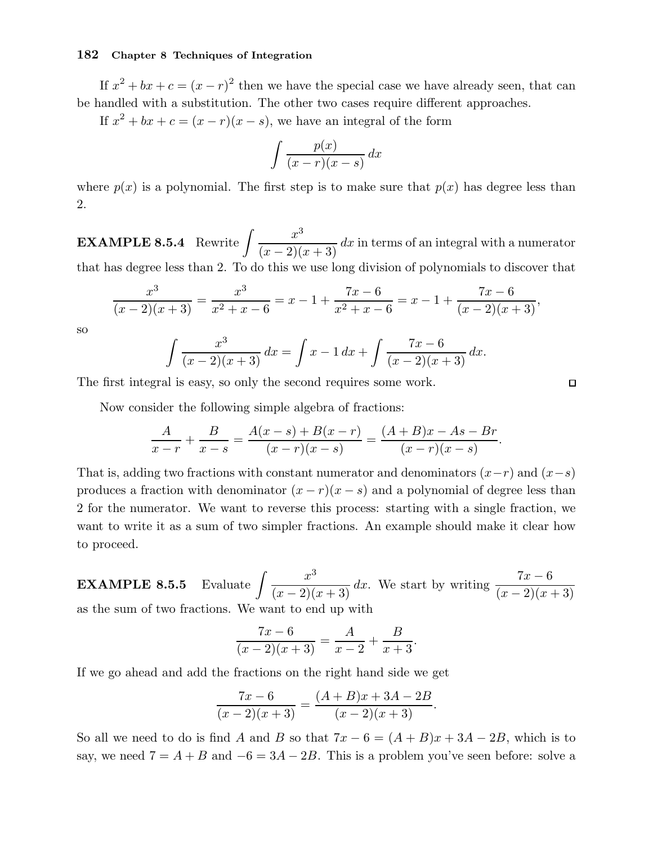If  $x^2 + bx + c = (x - r)^2$  then we have the special case we have already seen, that can be handled with a substitution. The other two cases require different approaches.

If  $x^2 + bx + c = (x - r)(x - s)$ , we have an integral of the form

$$
\int \frac{p(x)}{(x-r)(x-s)} dx
$$

where  $p(x)$  is a polynomial. The first step is to make sure that  $p(x)$  has degree less than 2.

**EXAMPLE 8.5.4** Rewrite  $\int \frac{x^3}{(x-2)^3}$  $\frac{d}{(x-2)(x+3)} dx$  in terms of an integral with a numerator that has degree less than 2. To do this we use long division of polynomials to discover that

$$
\frac{x^3}{(x-2)(x+3)} = \frac{x^3}{x^2+x-6} = x-1+\frac{7x-6}{x^2+x-6} = x-1+\frac{7x-6}{(x-2)(x+3)},
$$

so

$$
\int \frac{x^3}{(x-2)(x+3)} dx = \int x - 1 dx + \int \frac{7x - 6}{(x-2)(x+3)} dx.
$$

The first integral is easy, so only the second requires some work.

Now consider the following simple algebra of fractions:

$$
\frac{A}{x-r} + \frac{B}{x-s} = \frac{A(x-s) + B(x-r)}{(x-r)(x-s)} = \frac{(A+B)x - As - Br}{(x-r)(x-s)}
$$

That is, adding two fractions with constant numerator and denominators  $(x-r)$  and  $(x-s)$ produces a fraction with denominator  $(x - r)(x - s)$  and a polynomial of degree less than 2 for the numerator. We want to reverse this process: starting with a single fraction, we want to write it as a sum of two simpler fractions. An example should make it clear how to proceed.

**EXAMPLE 8.5.5** Evaluate  $\int \frac{x^3}{(x-2)(x+3)} dx$ . We start by writing  $\frac{7x-6}{(x-2)(x+3)}$ as the sum of two fractions. We want to end up with

$$
\frac{7x-6}{(x-2)(x+3)} = \frac{A}{x-2} + \frac{B}{x+3}.
$$

If we go ahead and add the fractions on the right hand side we get

$$
\frac{7x-6}{(x-2)(x+3)} = \frac{(A+B)x+3A-2B}{(x-2)(x+3)}.
$$

So all we need to do is find A and B so that  $7x - 6 = (A + B)x + 3A - 2B$ , which is to say, we need  $7 = A + B$  and  $-6 = 3A - 2B$ . This is a problem you've seen before: solve a

 $\Box$ 

.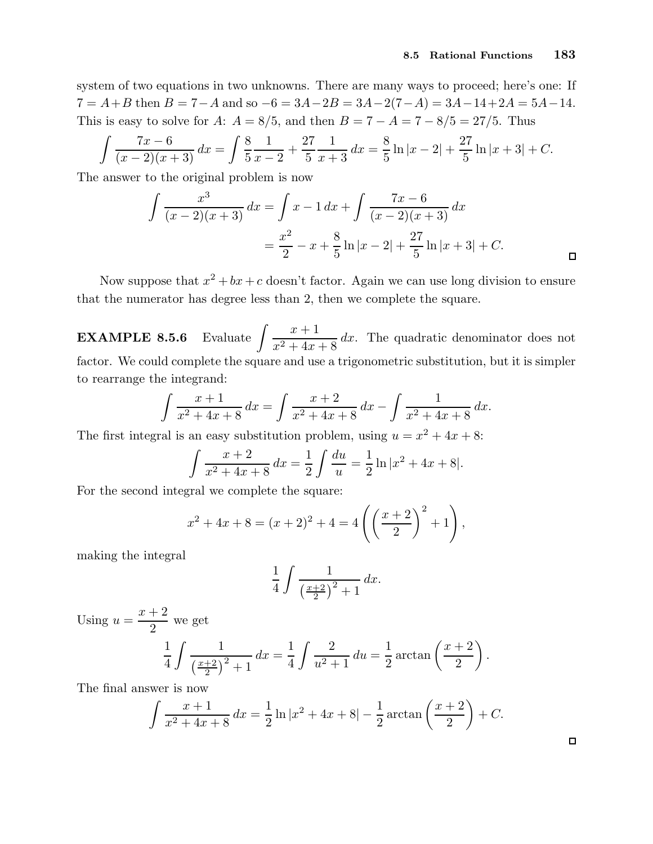system of two equations in two unknowns. There are many ways to proceed; here's one: If  $7 = A + B$  then  $B = 7 - A$  and so  $-6 = 3A - 2B = 3A - 2(7 - A) = 3A - 14 + 2A = 5A - 14$ . This is easy to solve for A:  $A = 8/5$ , and then  $B = 7 - A = 7 - 8/5 = 27/5$ . Thus

$$
\int \frac{7x-6}{(x-2)(x+3)} dx = \int \frac{8}{5} \frac{1}{x-2} + \frac{27}{5} \frac{1}{x+3} dx = \frac{8}{5} \ln|x-2| + \frac{27}{5} \ln|x+3| + C.
$$

The answer to the original problem is now

$$
\int \frac{x^3}{(x-2)(x+3)} dx = \int x - 1 dx + \int \frac{7x - 6}{(x-2)(x+3)} dx
$$
  
=  $\frac{x^2}{2} - x + \frac{8}{5} \ln|x-2| + \frac{27}{5} \ln|x+3| + C.$ 

Now suppose that  $x^2 + bx + c$  doesn't factor. Again we can use long division to ensure that the numerator has degree less than 2, then we complete the square.

EXAMPLE  $8.5.6$  $x + 1$  $\frac{x+2}{x^2+4x+8}$  dx. The quadratic denominator does not factor. We could complete the square and use a trigonometric substitution, but it is simpler to rearrange the integrand:

$$
\int \frac{x+1}{x^2+4x+8} dx = \int \frac{x+2}{x^2+4x+8} dx - \int \frac{1}{x^2+4x+8} dx.
$$

The first integral is an easy substitution problem, using  $u = x^2 + 4x + 8$ :

$$
\int \frac{x+2}{x^2+4x+8} dx = \frac{1}{2} \int \frac{du}{u} = \frac{1}{2} \ln|x^2+4x+8|.
$$

For the second integral we complete the square:

$$
x^{2} + 4x + 8 = (x + 2)^{2} + 4 = 4\left(\left(\frac{x + 2}{2}\right)^{2} + 1\right),
$$

making the integral

$$
\frac{1}{4} \int \frac{1}{\left(\frac{x+2}{2}\right)^2 + 1} dx.
$$

Using  $u =$  $x + 2$ 2 we get

$$
\frac{1}{4} \int \frac{1}{\left(\frac{x+2}{2}\right)^2 + 1} dx = \frac{1}{4} \int \frac{2}{u^2 + 1} du = \frac{1}{2} \arctan\left(\frac{x+2}{2}\right).
$$

The final answer is now

$$
\int \frac{x+1}{x^2+4x+8} dx = \frac{1}{2} \ln|x^2+4x+8| - \frac{1}{2} \arctan\left(\frac{x+2}{2}\right) + C.
$$

 $\Box$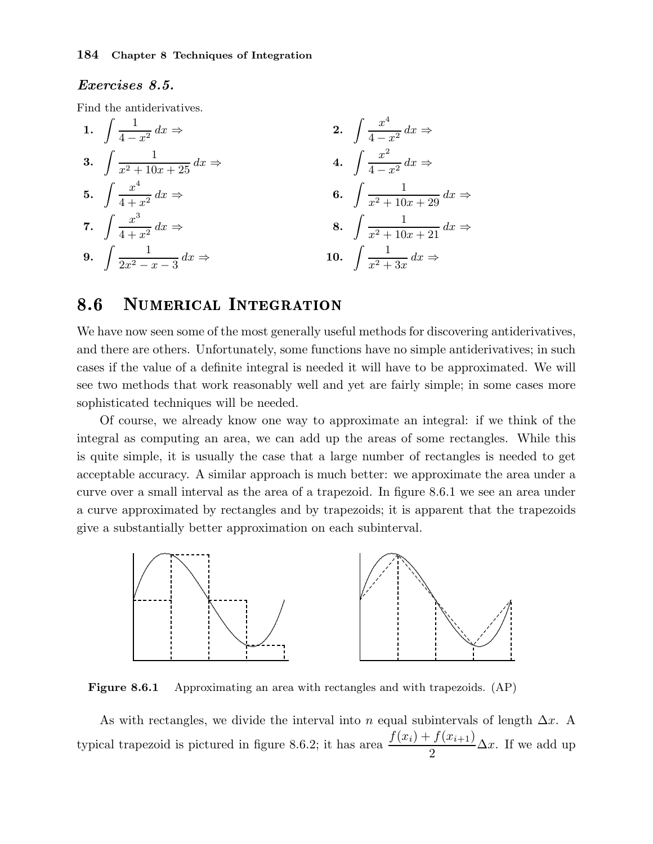## Exercises 8.5.

Find the antiderivatives.

1. 
$$
\int \frac{1}{4-x^2} dx \Rightarrow
$$
  
\n2.  $\int \frac{x^4}{4-x^2} dx \Rightarrow$   
\n3.  $\int \frac{1}{x^2 + 10x + 25} dx \Rightarrow$   
\n4.  $\int \frac{x^2}{4-x^2} dx \Rightarrow$   
\n5.  $\int \frac{x^4}{4+x^2} dx \Rightarrow$   
\n6.  $\int \frac{1}{x^2 + 10x + 29} dx \Rightarrow$   
\n7.  $\int \frac{x^3}{4+x^2} dx \Rightarrow$   
\n8.  $\int \frac{1}{x^2 + 10x + 21} dx \Rightarrow$   
\n9.  $\int \frac{1}{2x^2 - x - 3} dx \Rightarrow$   
\n10.  $\int \frac{1}{x^2 + 3x} dx \Rightarrow$ 

#### 8.6 NUMERICAL INTEGRATION

We have now seen some of the most generally useful methods for discovering antiderivatives, and there are others. Unfortunately, some functions have no simple antiderivatives; in such cases if the value of a definite integral is needed it will have to be approximated. We will see two methods that work reasonably well and yet are fairly simple; in some cases more sophisticated techniques will be needed.

Of course, we already know one way to approximate an integral: if we think of the integral as computing an area, we can add up the areas of some rectangles. While this is quite simple, it is usually the case that a large number of rectangles is needed to get acceptable accuracy. A similar approach is much better: we approximate the area under a curve over a small interval as the area of a trapezoid. In figure 8.6.1 we see an area under a curve approximated by rectangles and by trapezoids; it is apparent that the trapezoids give a substantially better approximation on each subinterval.



Figure 8.6.1 Approximating an area with rectangles and with trapezoids. (AP)

As with rectangles, we divide the interval into n equal subintervals of length  $\Delta x$ . A typical trapezoid is pictured in figure 8.6.2; it has area  $\frac{f(x_i) + f(x_{i+1})}{2}$ 2  $\Delta x$ . If we add up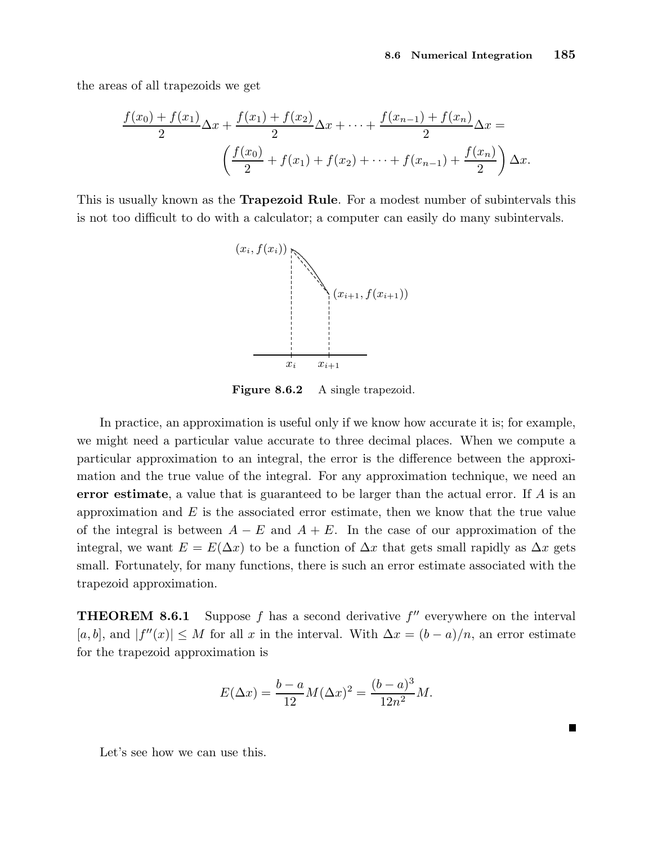the areas of all trapezoids we get

$$
\frac{f(x_0) + f(x_1)}{2} \Delta x + \frac{f(x_1) + f(x_2)}{2} \Delta x + \dots + \frac{f(x_{n-1}) + f(x_n)}{2} \Delta x =
$$

$$
\left(\frac{f(x_0)}{2} + f(x_1) + f(x_2) + \dots + f(x_{n-1}) + \frac{f(x_n)}{2}\right) \Delta x.
$$

This is usually known as the **Trapezoid Rule**. For a modest number of subintervals this is not too difficult to do with a calculator; a computer can easily do many subintervals.



Figure 8.6.2 A single trapezoid.

In practice, an approximation is useful only if we know how accurate it is; for example, we might need a particular value accurate to three decimal places. When we compute a particular approximation to an integral, the error is the difference between the approximation and the true value of the integral. For any approximation technique, we need an error estimate, a value that is guaranteed to be larger than the actual error. If A is an approximation and  $E$  is the associated error estimate, then we know that the true value of the integral is between  $A - E$  and  $A + E$ . In the case of our approximation of the integral, we want  $E = E(\Delta x)$  to be a function of  $\Delta x$  that gets small rapidly as  $\Delta x$  gets small. Fortunately, for many functions, there is such an error estimate associated with the trapezoid approximation.

**THEOREM 8.6.1** Suppose f has a second derivative  $f''$  everywhere on the interval [a, b], and  $|f''(x)| \leq M$  for all x in the interval. With  $\Delta x = (b-a)/n$ , an error estimate for the trapezoid approximation is

$$
E(\Delta x) = \frac{b-a}{12}M(\Delta x)^{2} = \frac{(b-a)^{3}}{12n^{2}}M.
$$

Let's see how we can use this.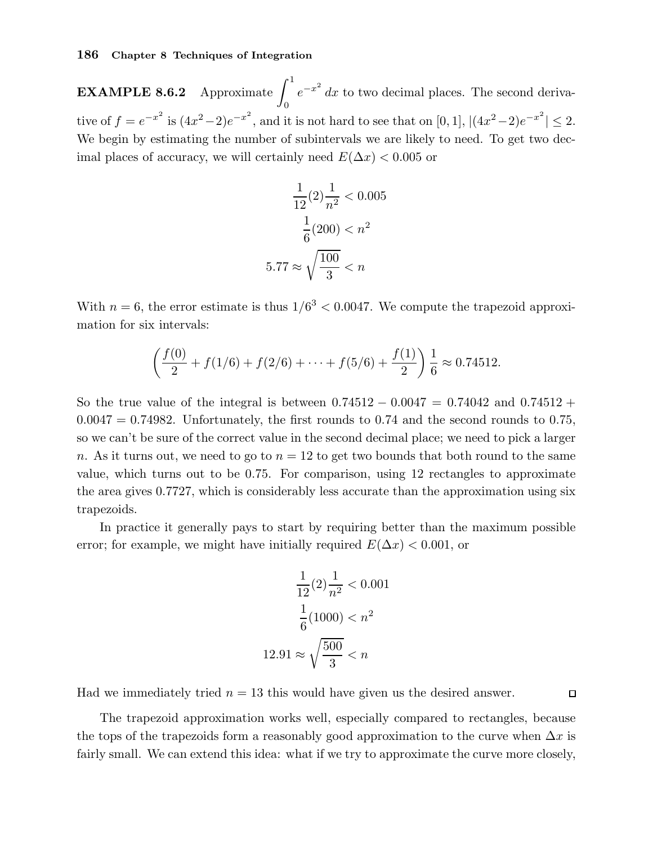**EXAMPLE 8.6.2** Approximate  $\int_1^1$ 0  $e^{-x^2}$  dx to two decimal places. The second derivative of  $f = e^{-x^2}$  is  $(4x^2 - 2)e^{-x^2}$ , and it is not hard to see that on [0, 1],  $|(4x^2 - 2)e^{-x^2}| \le 2$ . We begin by estimating the number of subintervals we are likely to need. To get two decimal places of accuracy, we will certainly need  $E(\Delta x) < 0.005$  or

$$
\frac{1}{12}(2)\frac{1}{n^2} < 0.005
$$
\n
$$
\frac{1}{6}(200) < n^2
$$
\n
$$
5.77 \approx \sqrt{\frac{100}{3}} < n
$$

With  $n = 6$ , the error estimate is thus  $1/6<sup>3</sup> < 0.0047$ . We compute the trapezoid approximation for six intervals:

$$
\left(\frac{f(0)}{2} + f(1/6) + f(2/6) + \dots + f(5/6) + \frac{f(1)}{2}\right) \frac{1}{6} \approx 0.74512.
$$

So the true value of the integral is between  $0.74512 - 0.0047 = 0.74042$  and  $0.74512 +$  $0.0047 = 0.74982$ . Unfortunately, the first rounds to 0.74 and the second rounds to 0.75, so we can't be sure of the correct value in the second decimal place; we need to pick a larger n. As it turns out, we need to go to  $n = 12$  to get two bounds that both round to the same value, which turns out to be 0.75. For comparison, using 12 rectangles to approximate the area gives 0.7727, which is considerably less accurate than the approximation using six trapezoids.

In practice it generally pays to start by requiring better than the maximum possible error; for example, we might have initially required  $E(\Delta x) < 0.001$ , or

$$
\frac{1}{12}(2)\frac{1}{n^2} < 0.001
$$
\n
$$
\frac{1}{6}(1000) < n^2
$$
\n
$$
12.91 \approx \sqrt{\frac{500}{3}} < n
$$

Had we immediately tried  $n = 13$  this would have given us the desired answer.

The trapezoid approximation works well, especially compared to rectangles, because the tops of the trapezoids form a reasonably good approximation to the curve when  $\Delta x$  is fairly small. We can extend this idea: what if we try to approximate the curve more closely,

 $\Box$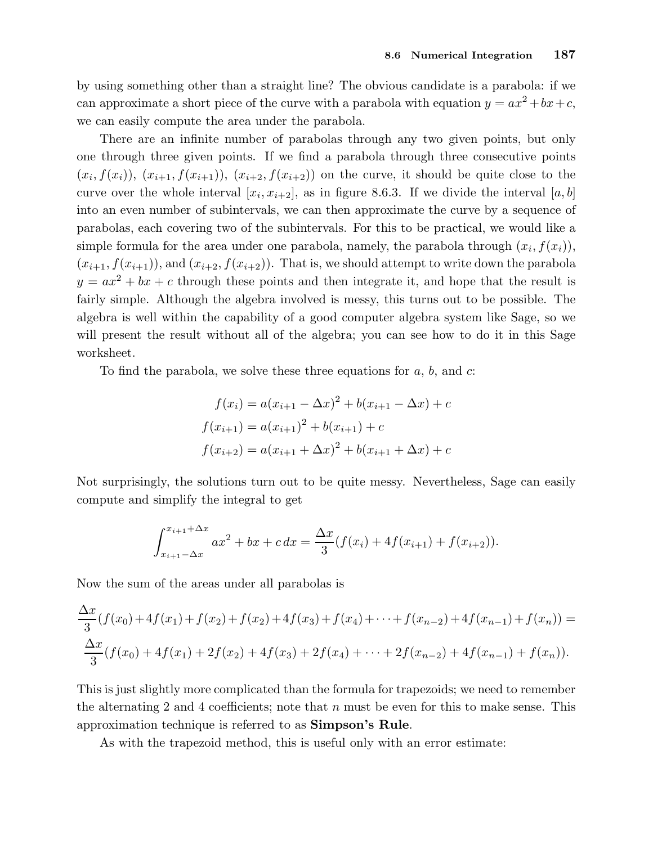by using something other than a straight line? The obvious candidate is a parabola: if we can approximate a short piece of the curve with a parabola with equation  $y = ax^2 + bx + c$ , we can easily compute the area under the parabola.

There are an infinite number of parabolas through any two given points, but only one through three given points. If we find a parabola through three consecutive points  $(x_i, f(x_i))$ ,  $(x_{i+1}, f(x_{i+1}))$ ,  $(x_{i+2}, f(x_{i+2}))$  on the curve, it should be quite close to the curve over the whole interval  $[x_i, x_{i+2}]$ , as in figure 8.6.3. If we divide the interval  $[a, b]$ into an even number of subintervals, we can then approximate the curve by a sequence of parabolas, each covering two of the subintervals. For this to be practical, we would like a simple formula for the area under one parabola, namely, the parabola through  $(x_i, f(x_i))$ ,  $(x_{i+1}, f(x_{i+1}))$ , and  $(x_{i+2}, f(x_{i+2}))$ . That is, we should attempt to write down the parabola  $y = ax^2 + bx + c$  through these points and then integrate it, and hope that the result is fairly simple. Although the algebra involved is messy, this turns out to be possible. The algebra is well within the capability of a good computer algebra system like Sage, so we will present the result without all of the algebra; you can see how to do it in this Sage worksheet.

To find the parabola, we solve these three equations for  $a, b$ , and  $c$ :

$$
f(x_i) = a(x_{i+1} - \Delta x)^2 + b(x_{i+1} - \Delta x) + c
$$

$$
f(x_{i+1}) = a(x_{i+1})^2 + b(x_{i+1}) + c
$$

$$
f(x_{i+2}) = a(x_{i+1} + \Delta x)^2 + b(x_{i+1} + \Delta x) + c
$$

Not surprisingly, the solutions turn out to be quite messy. Nevertheless, Sage can easily compute and simplify the integral to get

$$
\int_{x_{i+1}-\Delta x}^{x_{i+1}+\Delta x} ax^2 + bx + c \, dx = \frac{\Delta x}{3} (f(x_i) + 4f(x_{i+1}) + f(x_{i+2})).
$$

Now the sum of the areas under all parabolas is

$$
\frac{\Delta x}{3}(f(x_0) + 4f(x_1) + f(x_2) + f(x_2) + 4f(x_3) + f(x_4) + \dots + f(x_{n-2}) + 4f(x_{n-1}) + f(x_n)) =
$$
  

$$
\frac{\Delta x}{3}(f(x_0) + 4f(x_1) + 2f(x_2) + 4f(x_3) + 2f(x_4) + \dots + 2f(x_{n-2}) + 4f(x_{n-1}) + f(x_n)).
$$

This is just slightly more complicated than the formula for trapezoids; we need to remember the alternating 2 and 4 coefficients; note that  $n$  must be even for this to make sense. This approximation technique is referred to as Simpson's Rule.

As with the trapezoid method, this is useful only with an error estimate: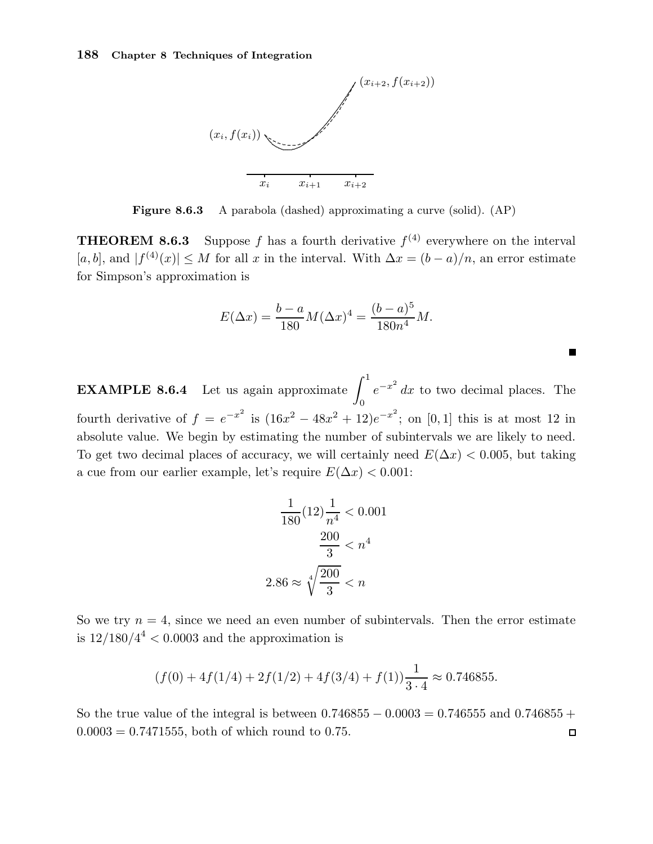

Figure 8.6.3 A parabola (dashed) approximating a curve (solid). (AP)

**THEOREM 8.6.3** Suppose f has a fourth derivative  $f^{(4)}$  everywhere on the interval [a, b], and  $|f^{(4)}(x)| \leq M$  for all x in the interval. With  $\Delta x = (b - a)/n$ , an error estimate for Simpson's approximation is

$$
E(\Delta x) = \frac{b-a}{180} M (\Delta x)^4 = \frac{(b-a)^5}{180n^4} M.
$$

 $\blacksquare$ 

**EXAMPLE 8.6.4** Let us again approximate  $\int_1^1$ 0  $e^{-x^2}$  dx to two decimal places. The fourth derivative of  $f = e^{-x^2}$  is  $(16x^2 - 48x^2 + 12)e^{-x^2}$ ; on [0, 1] this is at most 12 in absolute value. We begin by estimating the number of subintervals we are likely to need. To get two decimal places of accuracy, we will certainly need  $E(\Delta x) < 0.005$ , but taking a cue from our earlier example, let's require  $E(\Delta x) < 0.001$ :

$$
\frac{1}{180}(12)\frac{1}{n^4} < 0.001
$$
\n
$$
\frac{200}{3} < n^4
$$
\n
$$
2.86 \approx \sqrt[4]{\frac{200}{3}} < n
$$

So we try  $n = 4$ , since we need an even number of subintervals. Then the error estimate is  $12/180/4^4 < 0.0003$  and the approximation is

$$
(f(0) + 4f(1/4) + 2f(1/2) + 4f(3/4) + f(1))\frac{1}{3 \cdot 4} \approx 0.746855.
$$

So the true value of the integral is between  $0.746855 - 0.0003 = 0.746555$  and  $0.746855 +$  $0.0003 = 0.7471555$ , both of which round to 0.75.  $\Box$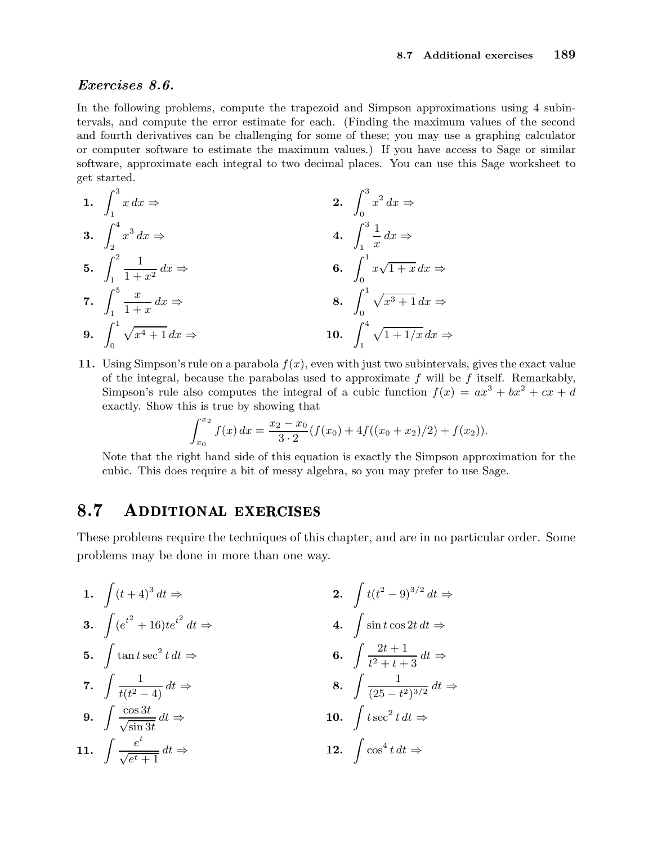## Exercises 8.6.

In the following problems, compute the trapezoid and Simpson approximations using 4 subintervals, and compute the error estimate for each. (Finding the maximum values of the second and fourth derivatives can be challenging for some of these; you may use a graphing calculator or computer software to estimate the maximum values.) If you have access to Sage or similar software, approximate each integral to two decimal places. You can use this Sage worksheet to get started.

1. 
$$
\int_{1}^{3} x \, dx \Rightarrow
$$
\n2. 
$$
\int_{0}^{3} x^{2} \, dx \Rightarrow
$$
\n3. 
$$
\int_{2}^{4} x^{3} \, dx \Rightarrow
$$
\n4. 
$$
\int_{1}^{3} \frac{1}{x} \, dx \Rightarrow
$$
\n5. 
$$
\int_{1}^{2} \frac{1}{1+x^{2}} \, dx \Rightarrow
$$
\n6. 
$$
\int_{0}^{1} x \sqrt{1+x} \, dx \Rightarrow
$$
\n7. 
$$
\int_{1}^{5} \frac{x}{1+x} \, dx \Rightarrow
$$
\n8. 
$$
\int_{0}^{1} \sqrt{x^{3}+1} \, dx \Rightarrow
$$
\n9. 
$$
\int_{0}^{1} \sqrt{x^{4}+1} \, dx \Rightarrow
$$
\n10. 
$$
\int_{1}^{4} \sqrt{1+1/x} \, dx \Rightarrow
$$

11. Using Simpson's rule on a parabola  $f(x)$ , even with just two subintervals, gives the exact value of the integral, because the parabolas used to approximate  $f$  will be  $f$  itself. Remarkably, Simpson's rule also computes the integral of a cubic function  $f(x) = ax^3 + bx^2 + cx + d$ exactly. Show this is true by showing that

$$
\int_{x_0}^{x_2} f(x) dx = \frac{x_2 - x_0}{3 \cdot 2} (f(x_0) + 4f((x_0 + x_2)/2) + f(x_2)).
$$

Note that the right hand side of this equation is exactly the Simpson approximation for the cubic. This does require a bit of messy algebra, so you may prefer to use Sage.

#### 8.7 ADDITIONAL EXERCISES

These problems require the techniques of this chapter, and are in no particular order. Some problems may be done in more than one way.

1. 
$$
\int (t+4)^3 dt \Rightarrow
$$
  
\n2.  $\int t(t^2-9)^{3/2} dt \Rightarrow$   
\n3.  $\int (e^{t^2} + 16)te^{t^2} dt \Rightarrow$   
\n4.  $\int \sin t \cos 2t dt \Rightarrow$   
\n5.  $\int \tan t \sec^2 t dt \Rightarrow$   
\n6.  $\int \frac{2t+1}{t^2+t+3} dt \Rightarrow$   
\n7.  $\int \frac{1}{t(t^2-4)} dt \Rightarrow$   
\n8.  $\int \frac{1}{(25-t^2)^{3/2}} dt \Rightarrow$   
\n9.  $\int \frac{\cos 3t}{\sqrt{\sin 3t}} dt \Rightarrow$   
\n10.  $\int t \sec^2 t dt \Rightarrow$   
\n11.  $\int \frac{e^t}{\sqrt{e^t+1}} dt \Rightarrow$   
\n12.  $\int \cos^4 t dt \Rightarrow$